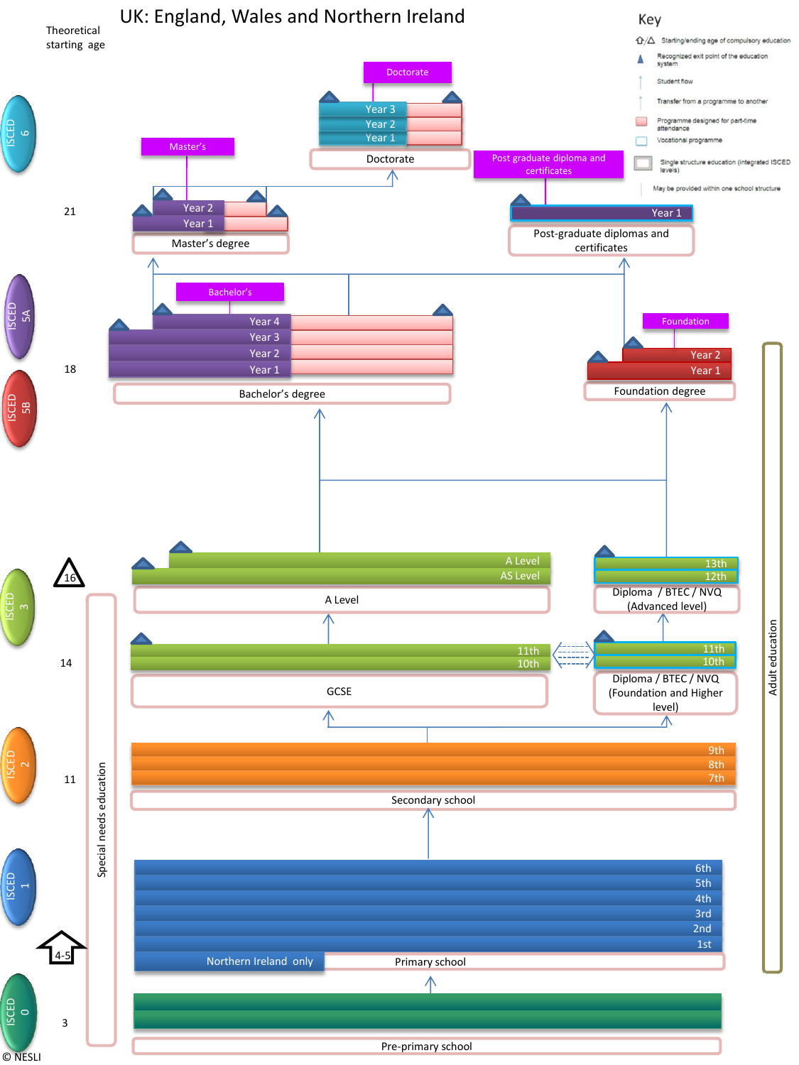